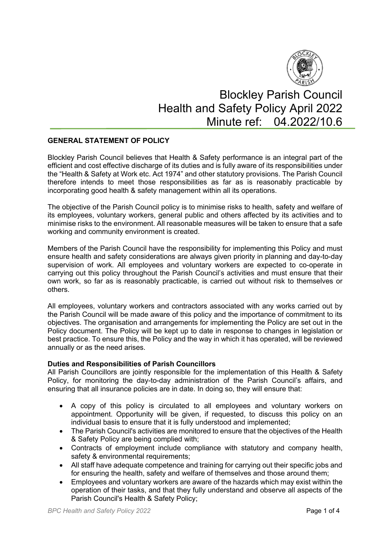

# Blockley Parish Council Health and Safety Policy April 2022 Minute ref: 04.2022/10.6

# **GENERAL STATEMENT OF POLICY**

Blockley Parish Council believes that Health & Safety performance is an integral part of the efficient and cost effective discharge of its duties and is fully aware of its responsibilities under the "Health & Safety at Work etc. Act 1974" and other statutory provisions. The Parish Council therefore intends to meet those responsibilities as far as is reasonably practicable by incorporating good health & safety management within all its operations.

The objective of the Parish Council policy is to minimise risks to health, safety and welfare of its employees, voluntary workers, general public and others affected by its activities and to minimise risks to the environment. All reasonable measures will be taken to ensure that a safe working and community environment is created.

Members of the Parish Council have the responsibility for implementing this Policy and must ensure health and safety considerations are always given priority in planning and day-to-day supervision of work. All employees and voluntary workers are expected to co-operate in carrying out this policy throughout the Parish Council's activities and must ensure that their own work, so far as is reasonably practicable, is carried out without risk to themselves or others.

All employees, voluntary workers and contractors associated with any works carried out by the Parish Council will be made aware of this policy and the importance of commitment to its objectives. The organisation and arrangements for implementing the Policy are set out in the Policy document. The Policy will be kept up to date in response to changes in legislation or best practice. To ensure this, the Policy and the way in which it has operated, will be reviewed annually or as the need arises.

## **Duties and Responsibilities of Parish Councillors**

All Parish Councillors are jointly responsible for the implementation of this Health & Safety Policy, for monitoring the day-to-day administration of the Parish Council's affairs, and ensuring that all insurance policies are in date. In doing so, they will ensure that:

- A copy of this policy is circulated to all employees and voluntary workers on appointment. Opportunity will be given, if requested, to discuss this policy on an individual basis to ensure that it is fully understood and implemented;
- The Parish Council's activities are monitored to ensure that the objectives of the Health & Safety Policy are being complied with;
- Contracts of employment include compliance with statutory and company health, safety & environmental requirements;
- All staff have adequate competence and training for carrying out their specific jobs and for ensuring the health, safety and welfare of themselves and those around them;
- Employees and voluntary workers are aware of the hazards which may exist within the operation of their tasks, and that they fully understand and observe all aspects of the Parish Council's Health & Safety Policy;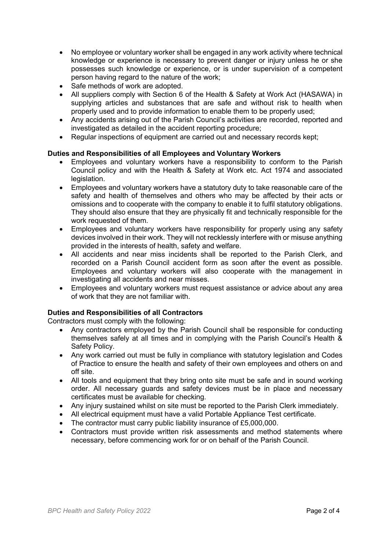- No employee or voluntary worker shall be engaged in any work activity where technical knowledge or experience is necessary to prevent danger or injury unless he or she possesses such knowledge or experience, or is under supervision of a competent person having regard to the nature of the work;
- Safe methods of work are adopted.
- All suppliers comply with Section 6 of the Health & Safety at Work Act (HASAWA) in supplying articles and substances that are safe and without risk to health when properly used and to provide information to enable them to be properly used;
- Any accidents arising out of the Parish Council's activities are recorded, reported and investigated as detailed in the accident reporting procedure;
- Regular inspections of equipment are carried out and necessary records kept;

## **Duties and Responsibilities of all Employees and Voluntary Workers**

- Employees and voluntary workers have a responsibility to conform to the Parish Council policy and with the Health & Safety at Work etc. Act 1974 and associated legislation.
- Employees and voluntary workers have a statutory duty to take reasonable care of the safety and health of themselves and others who may be affected by their acts or omissions and to cooperate with the company to enable it to fulfil statutory obligations. They should also ensure that they are physically fit and technically responsible for the work requested of them.
- Employees and voluntary workers have responsibility for properly using any safety devices involved in their work. They will not recklessly interfere with or misuse anything provided in the interests of health, safety and welfare.
- All accidents and near miss incidents shall be reported to the Parish Clerk, and recorded on a Parish Council accident form as soon after the event as possible. Employees and voluntary workers will also cooperate with the management in investigating all accidents and near misses.
- Employees and voluntary workers must request assistance or advice about any area of work that they are not familiar with.

## **Duties and Responsibilities of all Contractors**

Contractors must comply with the following:

- Any contractors employed by the Parish Council shall be responsible for conducting themselves safely at all times and in complying with the Parish Council's Health & Safety Policy.
- Any work carried out must be fully in compliance with statutory legislation and Codes of Practice to ensure the health and safety of their own employees and others on and off site.
- All tools and equipment that they bring onto site must be safe and in sound working order. All necessary guards and safety devices must be in place and necessary certificates must be available for checking.
- Any injury sustained whilst on site must be reported to the Parish Clerk immediately.
- All electrical equipment must have a valid Portable Appliance Test certificate.
- The contractor must carry public liability insurance of £5,000,000.
- Contractors must provide written risk assessments and method statements where necessary, before commencing work for or on behalf of the Parish Council.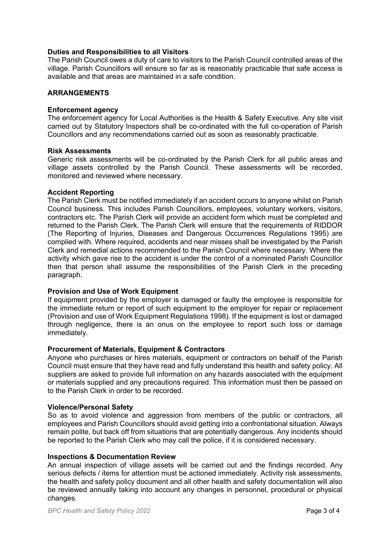## **Duties and Responsibilities to all Visitors**

The Parish Council owes a duty of care to visitors to the Parish Council controlled areas of the village. Parish Councillors will ensure so far as is reasonably practicable that safe access is available and that areas are maintained in a safe condition.

### **ARRANGEMENTS**

### **Enforcement agency**

The enforcement agency for Local Authorities is the Health & Safety Executive. Any site visit carried out by Statutory Inspectors shall be co-ordinated with the full co-operation of Parish Councillors and any recommendations carried out as soon as reasonably practicable.

## **Risk Assessments**

Generic risk assessments will be co-ordinated by the Parish Clerk for all public areas and village assets controlled by the Parish Council. These assessments will be recorded, monitored and reviewed where necessary.

## **Accident Reporting**

The Parish Clerk must be notified immediately if an accident occurs to anyone whilst on Parish Council business. This includes Parish Councillors, employees, voluntary workers, visitors, contractors etc. The Parish Clerk will provide an accident form which must be completed and returned to the Parish Clerk. The Parish Clerk will ensure that the requirements of RIDDOR (The Reporting of Injuries, Diseases and Dangerous Occurrences Regulations 1995) are complied with. Where required, accidents and near misses shall be investigated by the Parish Clerk and remedial actions recommended to the Parish Council where necessary. Where the activity which gave rise to the accident is under the control of a nominated Parish Councillor then that person shall assume the responsibilities of the Parish Clerk in the preceding paragraph.

#### **Provision and Use of Work Equipment**

If equipment provided by the employer is damaged or faulty the employee is responsible for the immediate return or report of such equipment to the employer for repair or replacement (Provision and use of Work Equipment Regulations 1998). If the equipment is lost or damaged through negligence, there is an onus on the employee to report such loss or damage immediately.

## **Procurement of Materials, Equipment & Contractors**

Anyone who purchases or hires materials, equipment or contractors on behalf of the Parish Council must ensure that they have read and fully understand this health and safety policy. All suppliers are asked to provide full information on any hazards associated with the equipment or materials supplied and any precautions required. This information must then be passed on to the Parish Clerk in order to be recorded.

#### **Violence/Personal Safety**

So as to avoid violence and aggression from members of the public or contractors, all employees and Parish Councillors should avoid getting into a confrontational situation. Always remain polite, but back off from situations that are potentially dangerous. Any incidents should be reported to the Parish Clerk who may call the police, if it is considered necessary.

#### **Inspections & Documentation Review**

An annual inspection of village assets will be carried out and the findings recorded. Any serious defects / items for attention must be actioned immediately. Activity risk assessments, the health and safety policy document and all other health and safety documentation will also be reviewed annually taking into account any changes in personnel, procedural or physical changes.